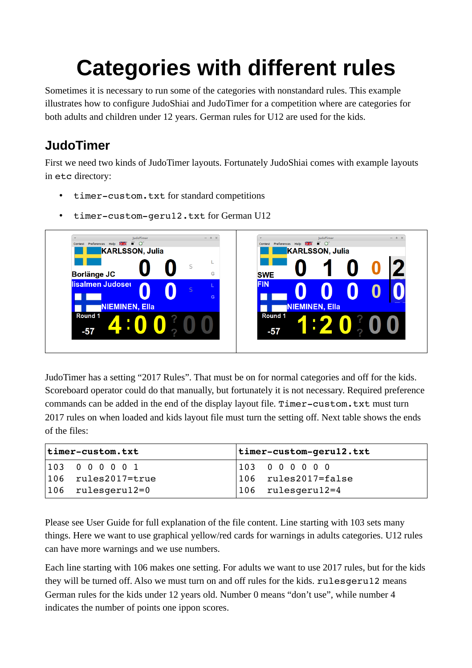## **Categories with different rules**

Sometimes it is necessary to run some of the categories with nonstandard rules. This example illustrates how to configure JudoShiai and JudoTimer for a competition where are categories for both adults and children under 12 years. German rules for U12 are used for the kids.

## **JudoTimer**

First we need two kinds of JudoTimer layouts. Fortunately JudoShiai comes with example layouts in etc directory:

- timer-custom.txt for standard competitions
- timer-custom-geru12.txt for German U12



JudoTimer has a setting "2017 Rules". That must be on for normal categories and off for the kids. Scoreboard operator could do that manually, but fortunately it is not necessary. Required preference commands can be added in the end of the display layout file. Timer-custom.txt must turn 2017 rules on when loaded and kids layout file must turn the setting off. Next table shows the ends of the files:

| timer-custom.txt |                       |  | $ $ timer-custom-gerul2.txt |  |  |  |  |  |
|------------------|-----------------------|--|-----------------------------|--|--|--|--|--|
|                  | $ 103 \t000001$       |  | $ 103 \t0 \t0 \t0 \t0 \t0$  |  |  |  |  |  |
|                  | $ 106$ rules2017=true |  | $\vert$ 106 rules2017=false |  |  |  |  |  |
|                  | $ 106$ rulesgerul2=0  |  | $ 106$ rulesgeru $12=4$     |  |  |  |  |  |

Please see User Guide for full explanation of the file content. Line starting with 103 sets many things. Here we want to use graphical yellow/red cards for warnings in adults categories. U12 rules can have more warnings and we use numbers.

Each line starting with 106 makes one setting. For adults we want to use 2017 rules, but for the kids they will be turned off. Also we must turn on and off rules for the kids. rulesgeru12 means German rules for the kids under 12 years old. Number 0 means "don't use", while number 4 indicates the number of points one ippon scores.